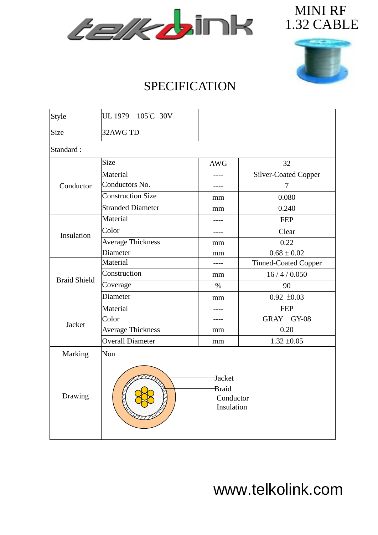



## SPECIFICATION

| Style               | UL 1979 105°C 30V                          |            |                      |  |  |  |  |  |
|---------------------|--------------------------------------------|------------|----------------------|--|--|--|--|--|
| Size                | 32AWG TD                                   |            |                      |  |  |  |  |  |
| Standard:           |                                            |            |                      |  |  |  |  |  |
| Conductor           | Size                                       | <b>AWG</b> | 32                   |  |  |  |  |  |
|                     | Material                                   |            | Silver-Coated Copper |  |  |  |  |  |
|                     | Conductors No.                             |            | $\tau$               |  |  |  |  |  |
|                     | <b>Construction Size</b>                   | mm         | 0.080                |  |  |  |  |  |
|                     | <b>Stranded Diameter</b>                   | mm         | 0.240                |  |  |  |  |  |
| Insulation          | Material                                   |            | <b>FEP</b>           |  |  |  |  |  |
|                     | Color                                      | ----       | Clear                |  |  |  |  |  |
|                     | <b>Average Thickness</b>                   | mm         | 0.22                 |  |  |  |  |  |
|                     | Diameter                                   | mm         | $0.68 \pm 0.02$      |  |  |  |  |  |
| <b>Braid Shield</b> | Material                                   |            | Tinned-Coated Copper |  |  |  |  |  |
|                     | Construction                               | mm         | 16/4/0.050           |  |  |  |  |  |
|                     | Coverage                                   | $\%$       | 90                   |  |  |  |  |  |
|                     | Diameter                                   | mm         | $0.92 \pm 0.03$      |  |  |  |  |  |
|                     | Material                                   |            | <b>FEP</b>           |  |  |  |  |  |
|                     | Color                                      |            | GRAY GY-08           |  |  |  |  |  |
| Jacket              | <b>Average Thickness</b>                   | mm         | 0.20                 |  |  |  |  |  |
|                     | <b>Overall Diameter</b>                    | mm         | $1.32 \pm 0.05$      |  |  |  |  |  |
| Marking             | Non                                        |            |                      |  |  |  |  |  |
| Drawing             | Jacket<br>Braid<br>Conductor<br>Insulation |            |                      |  |  |  |  |  |

www.telkolink.com